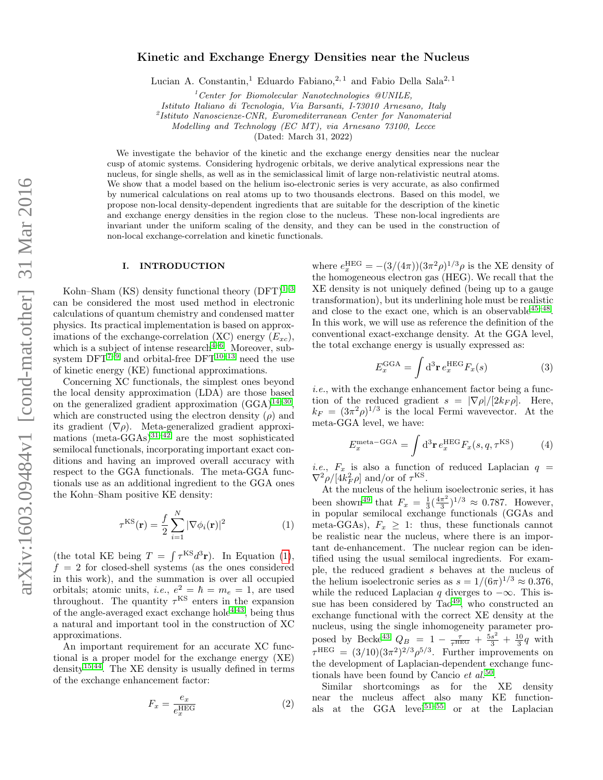# Kinetic and Exchange Energy Densities near the Nucleus

Lucian A. Constantin,<sup>1</sup> Eduardo Fabiano,<sup>2,1</sup> and Fabio Della Sala<sup>2,1</sup>

 $1$ <sup>1</sup>Center for Biomolecular Nanotechnologies @UNILE,

Istituto Italiano di Tecnologia, Via Barsanti, I-73010 Arnesano, Italy

2 Istituto Nanoscienze-CNR, Euromediterranean Center for Nanomaterial

Modelling and Technology (EC MT), via Arnesano 73100, Lecce

(Dated: March 31, 2022)

We investigate the behavior of the kinetic and the exchange energy densities near the nuclear cusp of atomic systems. Considering hydrogenic orbitals, we derive analytical expressions near the nucleus, for single shells, as well as in the semiclassical limit of large non-relativistic neutral atoms. We show that a model based on the helium iso-electronic series is very accurate, as also confirmed by numerical calculations on real atoms up to two thousands electrons. Based on this model, we propose non-local density-dependent ingredients that are suitable for the description of the kinetic and exchange energy densities in the region close to the nucleus. These non-local ingredients are invariant under the uniform scaling of the density, and they can be used in the construction of non-local exchange-correlation and kinetic functionals.

# I. INTRODUCTION

Kohn–Sham (KS) density functional theory  $(DFT)^{1-3}$  $(DFT)^{1-3}$  $(DFT)^{1-3}$ can be considered the most used method in electronic calculations of quantum chemistry and condensed matter physics. Its practical implementation is based on approximations of the exchange-correlation (XC) energy  $(E_{xc})$ , which is a subject of intense research $4-6$  $4-6$ . Moreover, subsystem  $DFT^{7-9}$  $DFT^{7-9}$  $DFT^{7-9}$  and orbital-free  $DFT^{10-13}$  $DFT^{10-13}$  $DFT^{10-13}$  need the use of kinetic energy (KE) functional approximations.

Concerning XC functionals, the simplest ones beyond the local density approximation (LDA) are those based on the generalized gradient approximation  $(GGA)^{14-30}$  $(GGA)^{14-30}$  $(GGA)^{14-30}$ , which are constructed using the electron density  $(\rho)$  and its gradient  $(\nabla \rho)$ . Meta-generalized gradient approxi-mations (meta-GGAs)<sup>[31](#page-8-3)[–42](#page-8-4)</sup> are the most sophisticated semilocal functionals, incorporating important exact conditions and having an improved overall accuracy with respect to the GGA functionals. The meta-GGA functionals use as an additional ingredient to the GGA ones the Kohn–Sham positive KE density:

<span id="page-0-0"></span>
$$
\tau^{\text{KS}}(\mathbf{r}) = \frac{f}{2} \sum_{i=1}^{N} |\nabla \phi_i(\mathbf{r})|^2
$$
 (1)

(the total KE being  $T = \int \tau^{KS} d^3r$ ). In Equation [\(1\)](#page-0-0),  $f = 2$  for closed-shell systems (as the ones considered in this work), and the summation is over all occupied orbitals; atomic units, *i.e.*,  $e^2 = \hbar = m_e = 1$ , are used throughout. The quantity  $\tau^{KS}$  enters in the expansion of the angle-averaged exact exchange hole<sup> $4,43$  $4,43$ </sup>, being thus a natural and important tool in the construction of XC approximations.

An important requirement for an accurate XC functional is a proper model for the exchange energy (XE) density<sup>[15](#page-8-6)[,44](#page-8-7)</sup>. The XE density is usually defined in terms of the exchange enhancement factor:

$$
F_x = \frac{e_x}{e_x^{\text{HEG}}} \tag{2}
$$

where  $e_x^{\text{HEG}} = -(3/(4\pi))(3\pi^2\rho)^{1/3}\rho$  is the XE density of the homogeneous electron gas (HEG). We recall that the XE density is not uniquely defined (being up to a gauge transformation), but its underlining hole must be realistic and close to the exact one, which is an observable  $45-48$  $45-48$ . In this work, we will use as reference the definition of the conventional exact-exchange density. At the GGA level, the total exchange energy is usually expressed as:

$$
E_x^{\text{GGA}} = \int \mathrm{d}^3 \mathbf{r} \, e_x^{\text{HEG}} F_x(s) \tag{3}
$$

i.e., with the exchange enhancement factor being a function of the reduced gradient  $s = |\nabla \rho|/[2k_F \rho]$ . Here,  $k_F = (3\pi^2 \rho)^{1/3}$  is the local Fermi wavevector. At the meta-GGA level, we have:

$$
E_x^{\text{meta-GGA}} = \int \mathrm{d}^3 \mathbf{r} \, e_x^{\text{HEG}} F_x(s, q, \tau^{\text{KS}})
$$
 (4)

*i.e.*,  $F_x$  is also a function of reduced Laplacian  $q =$  $\nabla^2 \rho / [4k_F^2 \rho]$  and/or of  $\tau^{\text{KS}}$ .

At the nucleus of the helium isoelectronic series, it has been shown<sup>[49](#page-9-2)</sup> that  $F_x = \frac{1}{3}(\frac{4\pi^2}{3})$  $(\frac{\pi^2}{3})^{1/3} \approx 0.787$ . However, in popular semilocal exchange functionals (GGAs and meta-GGAs),  $F_x \geq 1$ : thus, these functionals cannot be realistic near the nucleus, where there is an important de-enhancement. The nuclear region can be identified using the usual semilocal ingredients. For example, the reduced gradient s behaves at the nucleus of the helium isoelectronic series as  $s = 1/(6\pi)^{1/3} \approx 0.376$ , while the reduced Laplacian q diverges to  $-\infty$ . This issue has been considered by  $Tao<sup>49</sup>$  $Tao<sup>49</sup>$  $Tao<sup>49</sup>$ , who constructed an exchange functional with the correct XE density at the nucleus, using the single inhomogeneity parameter pro-posed by Becke<sup>[43](#page-8-5)</sup>  $Q_B = 1 - \frac{\tau}{\tau^{HEG}} + \frac{5s^2}{3} + \frac{10}{3}q$  with  $\tau^{\text{HEG}} = (3/10)(3\pi^2)^{2/3} \rho^{5/3}$ . Further improvements on the development of Laplacian-dependent exchange functionals have been found by Cancio  $et \ al.<sup>50</sup>$  $et \ al.<sup>50</sup>$  $et \ al.<sup>50</sup>$ .

Similar shortcomings as for the XE density near the nucleus affect also many KE functionals at the GGA level[51–](#page-9-4)[55](#page-9-5) or at the Laplacian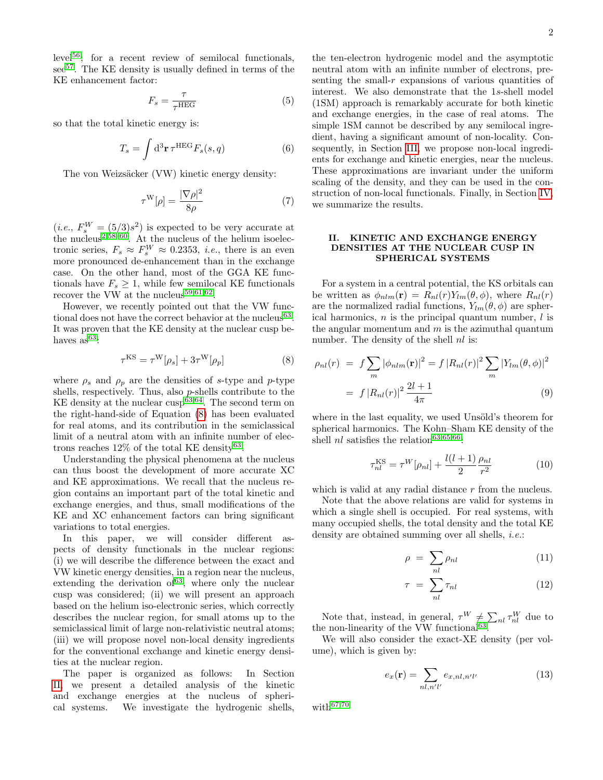level[56](#page-9-6); for a recent review of semilocal functionals, see<sup>[57](#page-9-7)</sup>. The KE density is usually defined in terms of the KE enhancement factor:

$$
F_s = \frac{\tau}{\tau^{\text{HEG}}} \tag{5}
$$

so that the total kinetic energy is:

$$
T_s = \int d^3 \mathbf{r} \,\tau^{\text{HEG}} F_s(s, q) \tag{6}
$$

The von Weizsäcker (VW) kinetic energy density:

$$
\tau^{\mathcal{W}}[\rho] = \frac{|\nabla \rho|^2}{8\rho} \tag{7}
$$

 $(i.e., F_s^W = (5/3)s^2)$  is expected to be very accurate at the nucleus<sup>[2,](#page-7-7)[58–](#page-9-8)[60](#page-9-9)</sup>. At the nucleus of the helium isoelectronic series,  $F_s \approx F_s^W \approx 0.2353$ , *i.e.*, there is an even more pronounced de-enhancement than in the exchange case. On the other hand, most of the GGA KE functionals have  $F_s \geq 1$ , while few semilocal KE functionals recover the VW at the nucleus<sup>[59](#page-9-10)[,61,](#page-9-11)[62](#page-9-12)</sup>.

However, we recently pointed out that the VW func-tional does not have the correct behavior at the nucleus<sup>[63](#page-9-13)</sup>. It was proven that the KE density at the nuclear cusp behaves  $as^{63}$  $as^{63}$  $as^{63}$ :

<span id="page-1-0"></span>
$$
\tau^{\text{KS}} = \tau^{\text{W}}[\rho_s] + 3\tau^{\text{W}}[\rho_p] \tag{8}
$$

where  $\rho_s$  and  $\rho_p$  are the densities of s-type and p-type shells, respectively. Thus, also p-shells contribute to the KE density at the nuclear cusp<sup> $63,64$  $63,64$ </sup>. The second term on the right-hand-side of Equation [\(8\)](#page-1-0) has been evaluated for real atoms, and its contribution in the semiclassical limit of a neutral atom with an infinite number of electrons reaches  $12\%$  of the total KE density<sup>[63](#page-9-13)</sup>.

Understanding the physical phenomena at the nucleus can thus boost the development of more accurate XC and KE approximations. We recall that the nucleus region contains an important part of the total kinetic and exchange energies, and thus, small modifications of the KE and XC enhancement factors can bring significant variations to total energies.

In this paper, we will consider different aspects of density functionals in the nuclear regions: (i) we will describe the difference between the exact and VW kinetic energy densities, in a region near the nucleus, extending the derivation of  $63$ , where only the nuclear cusp was considered; (ii) we will present an approach based on the helium iso-electronic series, which correctly describes the nuclear region, for small atoms up to the semiclassical limit of large non-relativistic neutral atoms; (iii) we will propose novel non-local density ingredients for the conventional exchange and kinetic energy densities at the nuclear region.

The paper is organized as follows: In Section [II,](#page-1-1) we present a detailed analysis of the kinetic and exchange energies at the nucleus of spherical systems. We investigate the hydrogenic shells,

the ten-electron hydrogenic model and the asymptotic neutral atom with an infinite number of electrons, presenting the small- $r$  expansions of various quantities of interest. We also demonstrate that the 1s-shell model (1SM) approach is remarkably accurate for both kinetic and exchange energies, in the case of real atoms. The simple 1SM cannot be described by any semilocal ingredient, having a significant amount of non-locality. Consequently, in Section [III,](#page-5-0) we propose non-local ingredients for exchange and kinetic energies, near the nucleus. These approximations are invariant under the uniform scaling of the density, and they can be used in the construction of non-local functionals. Finally, in Section [IV,](#page-7-8) we summarize the results.

# <span id="page-1-1"></span>II. KINETIC AND EXCHANGE ENERGY DENSITIES AT THE NUCLEAR CUSP IN SPHERICAL SYSTEMS

For a system in a central potential, the KS orbitals can be written as  $\phi_{nlm}(\mathbf{r}) = R_{nl}(r)Y_{lm}(\theta, \phi)$ , where  $R_{nl}(r)$ are the normalized radial functions,  $Y_{lm}(\theta, \phi)$  are spherical harmonics,  $n$  is the principal quantum number,  $l$  is the angular momentum and  $m$  is the azimuthal quantum number. The density of the shell  $nl$  is:

$$
\rho_{nl}(r) = f \sum_{m} |\phi_{nlm}(\mathbf{r})|^2 = f |R_{nl}(r)|^2 \sum_{m} |Y_{lm}(\theta, \phi)|^2
$$

$$
= f |R_{nl}(r)|^2 \frac{2l+1}{4\pi} \tag{9}
$$

where in the last equality, we used Unsöld's theorem for spherical harmonics. The Kohn–Sham KE density of the shell  $nl$  satisfies the relation<sup>[63,](#page-9-13)[65](#page-9-15)[,66](#page-9-16)</sup>:

$$
\tau_{nl}^{\rm KS} = \tau^W[\rho_{nl}] + \frac{l(l+1)}{2} \frac{\rho_{nl}}{r^2}
$$
 (10)

which is valid at any radial distance  $r$  from the nucleus.

Note that the above relations are valid for systems in which a single shell is occupied. For real systems, with many occupied shells, the total density and the total KE density are obtained summing over all shells, *i.e.*:

<span id="page-1-2"></span>
$$
\rho = \sum_{nl} \rho_{nl} \tag{11}
$$

$$
\tau = \sum_{nl} \tau_{nl} \tag{12}
$$

Note that, instead, in general,  $\tau^W \neq \sum_{n_l} \tau^W_{nl}$  due to the non-linearity of the VW functional<sup>[63](#page-9-13)</sup>.

We will also consider the exact-XE density (per volume), which is given by:

$$
e_x(\mathbf{r}) = \sum_{nl,n'l'} e_{x,nl,n'l'} \tag{13}
$$

with $^{67,70}$  $^{67,70}$  $^{67,70}$  $^{67,70}$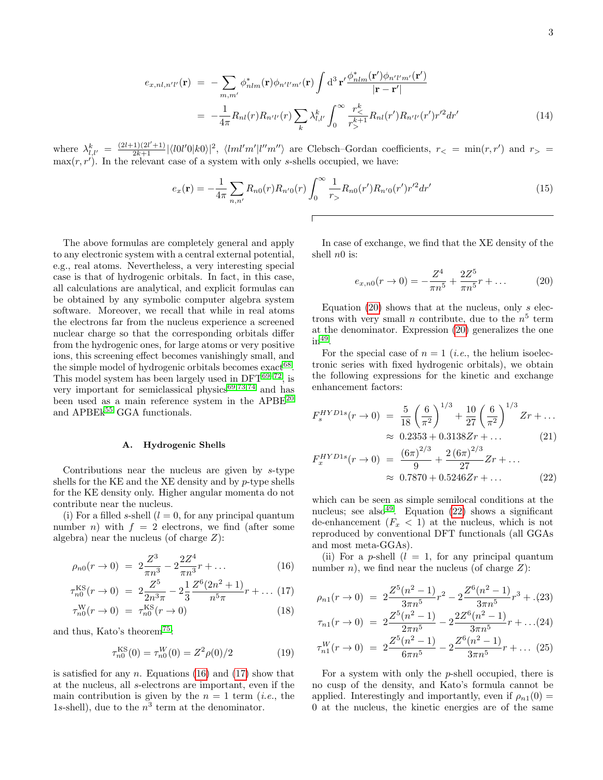$$
e_{x,nl,n'l'}(\mathbf{r}) = -\sum_{m,m'} \phi_{nlm}^*(\mathbf{r}) \phi_{n'l'm'}(\mathbf{r}) \int d^3 \mathbf{r'} \frac{\phi_{nlm}^*(\mathbf{r'}) \phi_{n'l'm'}(\mathbf{r'})}{|\mathbf{r} - \mathbf{r'}|}
$$
  

$$
= -\frac{1}{4\pi} R_{nl}(r) R_{n'l'}(r) \sum_k \lambda_{l,l'}^k \int_0^\infty \frac{r_{\le}^k}{r_{>}^{k+1}} R_{nl}(r') R_{n'l'}(r') r'^2 dr'
$$
(14)

where  $\lambda_{l,l'}^k = \frac{(2l+1)(2l'+1)}{2k+1} |\langle l0l'0|k0\rangle|^2$ ,  $\langle lml'm'|l''m''\rangle$  are Clebsch–Gordan coefficients,  $r_< = \min(r,r')$  and  $r_> =$  $\max(r, r')$ . In the relevant case of a system with only s-shells occupied, we have:

<span id="page-2-4"></span>
$$
e_x(\mathbf{r}) = -\frac{1}{4\pi} \sum_{n,n'} R_{n0}(r) R_{n'0}(r) \int_0^\infty \frac{1}{r_0} R_{n0}(r') R_{n'0}(r') r'^2 dr' \tag{15}
$$

The above formulas are completely general and apply to any electronic system with a central external potential, e.g., real atoms. Nevertheless, a very interesting special case is that of hydrogenic orbitals. In fact, in this case, all calculations are analytical, and explicit formulas can be obtained by any symbolic computer algebra system software. Moreover, we recall that while in real atoms the electrons far from the nucleus experience a screened nuclear charge so that the corresponding orbitals differ from the hydrogenic ones, for large atoms or very positive ions, this screening effect becomes vanishingly small, and the simple model of hydrogenic orbitals becomes  $\text{exact}^{68}$  $\text{exact}^{68}$  $\text{exact}^{68}$ . This model system has been largely used in  $DFT^{69-72}$  $DFT^{69-72}$  $DFT^{69-72}$ , is very important for semiclassical physics $69,73,74$  $69,73,74$  $69,73,74$  and has been used as a main reference system in the APBE<sup>[20](#page-8-8)</sup> and APBE $k^{55}$  $k^{55}$  $k^{55}$  GGA functionals.

#### A. Hydrogenic Shells

Contributions near the nucleus are given by s-type shells for the KE and the XE density and by  $p$ -type shells for the KE density only. Higher angular momenta do not contribute near the nucleus.

(i) For a filled s-shell  $(l = 0,$  for any principal quantum number *n*) with  $f = 2$  electrons, we find (after some algebra) near the nucleus (of charge  $Z$ ):

$$
\rho_{n0}(r \to 0) = 2\frac{Z^3}{\pi n^3} - 2\frac{2Z^4}{\pi n^3}r + \dots \tag{16}
$$

<span id="page-2-0"></span>
$$
\tau_{n0}^{\text{KS}}(r \to 0) = 2\frac{Z^5}{2n^3\pi} - 2\frac{1}{3}\frac{Z^6(2n^2+1)}{n^5\pi}r + \dots (17)
$$

$$
\tau_{n0}^{\mathrm{W}}(r \to 0) = \tau_{n0}^{\mathrm{KS}}(r \to 0) \tag{18}
$$

and thus, Kato's theorem[75](#page-9-24):

$$
\tau_{n0}^{\text{KS}}(0) = \tau_{n0}^{W}(0) = Z^2 \rho(0)/2 \tag{19}
$$

is satisfied for any *n*. Equations [\(16\)](#page-2-0) and [\(17\)](#page-2-0) show that at the nucleus, all s-electrons are important, even if the main contribution is given by the  $n = 1$  term *(i.e., the*) 1s-shell), due to the  $n^3$  term at the denominator.

In case of exchange, we find that the XE density of the shell  $n0$  is:

<span id="page-2-1"></span>
$$
e_{x,n0}(r \to 0) = -\frac{Z^4}{\pi n^5} + \frac{2Z^5}{\pi n^5}r + \dots \tag{20}
$$

Equation  $(20)$  shows that at the nucleus, only s electrons with very small *n* contribute, due to the  $n<sup>5</sup>$  term at the denominator. Expression [\(20\)](#page-2-1) generalizes the one  $in^{49}$  $in^{49}$  $in^{49}$ .

For the special case of  $n = 1$  (*i.e.*, the helium isoelectronic series with fixed hydrogenic orbitals), we obtain the following expressions for the kinetic and exchange enhancement factors:

<span id="page-2-2"></span>
$$
F_s^{HYD1s}(r \to 0) = \frac{5}{18} \left(\frac{6}{\pi^2}\right)^{1/3} + \frac{10}{27} \left(\frac{6}{\pi^2}\right)^{1/3} Zr + \dots
$$
  
\approx 0.2353 + 0.3138 Zr + (21)

$$
F_x^{HYD1s}(r \to 0) = \frac{(6\pi)^{2/3}}{9} + \frac{2(6\pi)^{2/3}}{27}Zr + \dots
$$
 (21)

$$
\approx 0.7870 + 0.5246Zr + \dots \tag{22}
$$

which can be seen as simple semilocal conditions at the nucleus; see also<sup>[49](#page-9-2)</sup>. Equation [\(22\)](#page-2-2) shows a significant de-enhancement  $(F_x < 1)$  at the nucleus, which is not reproduced by conventional DFT functionals (all GGAs and most meta-GGAs).

(ii) For a p-shell  $(l = 1,$  for any principal quantum number *n*), we find near the nucleus (of charge  $Z$ ):

$$
\rho_{n1}(r \to 0) = 2 \frac{Z^5(n^2 - 1)}{3\pi n^5} r^2 - 2 \frac{Z^6(n^2 - 1)}{3\pi n^5} r^3 + (23)
$$
\n
$$
\left(\frac{Z^5(n^2 - 1)}{3\pi n^5}\right) = 2 Z^6(n^2 - 1) \tag{24}
$$

<span id="page-2-3"></span>
$$
\tau_{n1}(r \to 0) = 2 \frac{Z^5(n^2 - 1)}{2\pi n^5} - 2 \frac{2Z^6(n^2 - 1)}{3\pi n^5} r + \dots (24)
$$
  

$$
Z^5(n^2 - 1) = Z^6(n^2 - 1)
$$

$$
\tau_{n1}^W(r \to 0) = 2 \frac{Z^5(n^2 - 1)}{6\pi n^5} - 2 \frac{Z^6(n^2 - 1)}{3\pi n^5} r + \dots (25)
$$

For a system with only the p-shell occupied, there is no cusp of the density, and Kato's formula cannot be applied. Interestingly and importantly, even if  $\rho_{n1}(0)$  = 0 at the nucleus, the kinetic energies are of the same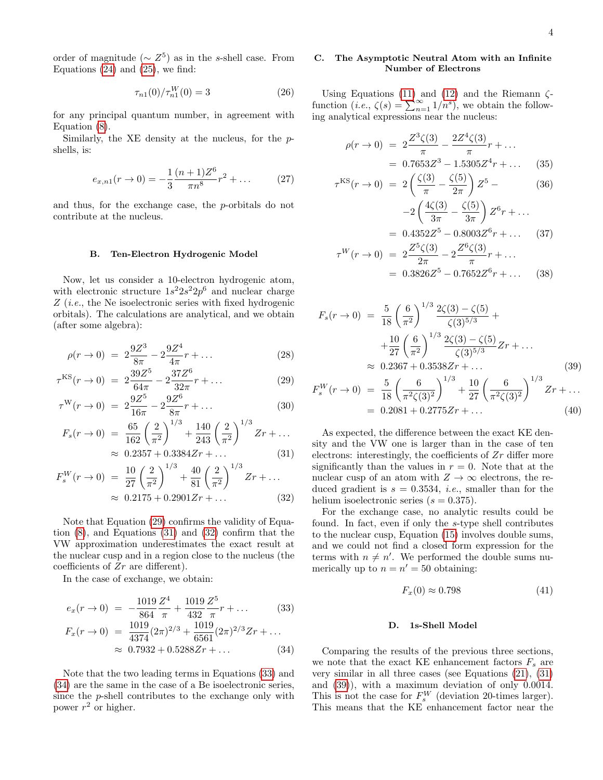order of magnitude ( $\sim Z^5$ ) as in the s-shell case. From Equations  $(24)$  and  $(25)$ , we find:

$$
\tau_{n1}(0)/\tau_{n1}^W(0) = 3\tag{26}
$$

for any principal quantum number, in agreement with Equation [\(8\)](#page-1-0).

Similarly, the XE density at the nucleus, for the pshells, is:

$$
e_{x,n1}(r \to 0) = -\frac{1}{3} \frac{(n+1)Z^6}{\pi n^8} r^2 + \dots \tag{27}
$$

and thus, for the exchange case, the p-orbitals do not contribute at the nucleus.

#### B. Ten-Electron Hydrogenic Model

Now, let us consider a 10-electron hydrogenic atom, with electronic structure  $1s^2 2s^2 2p^6$  and nuclear charge Z (i.e., the Ne isoelectronic series with fixed hydrogenic orbitals). The calculations are analytical, and we obtain (after some algebra):

$$
\rho(r \to 0) = 2\frac{9Z^3}{8\pi} - 2\frac{9Z^4}{4\pi}r + \dots \tag{28}
$$

<span id="page-3-0"></span>
$$
\tau^{\text{KS}}(r \to 0) = 2 \frac{39Z^5}{64\pi} - 2 \frac{37Z^6}{32\pi}r + \dots \tag{29}
$$

$$
\tau^{\mathcal{W}}(r \to 0) = 2\frac{9Z^5}{16\pi} - 2\frac{9Z^6}{8\pi}r + \dots \tag{30}
$$

$$
F_s(r \to 0) = \frac{65}{162} \left(\frac{2}{\pi^2}\right)^{1/3} + \frac{140}{243} \left(\frac{2}{\pi^2}\right)^{1/3} Zr + \dots
$$
  
 
$$
\approx 0.2257 + 0.2284 Zr + \dots
$$
 (21)

$$
\approx 0.2357 + 0.3384Zr + ... \tag{31}
$$
\n
$$
(r \to 0) = \frac{10}{27} \left(\frac{2}{\pi^2}\right)^{1/3} + \frac{40}{81} \left(\frac{2}{\pi^2}\right)^{1/3} Zr + ...
$$

$$
F_s^W(r \to 0) = \frac{10}{27} \left(\frac{2}{\pi^2}\right) + \frac{40}{81} \left(\frac{2}{\pi^2}\right) \quad Zr + \dots
$$
  

$$
\approx 0.2175 + 0.2901 Zr + \dots
$$
 (32)

Note that Equation [\(29\)](#page-3-0) confirms the validity of Equation [\(8\)](#page-1-0), and Equations [\(31\)](#page-3-0) and [\(32\)](#page-3-0) confirm that the VW approximation underestimates the exact result at the nuclear cusp and in a region close to the nucleus (the coefficients of Zr are different).

In the case of exchange, we obtain:

<span id="page-3-1"></span>
$$
e_x(r \to 0) = -\frac{1019}{864} \frac{Z^4}{\pi} + \frac{1019}{432} \frac{Z^5}{\pi} r + \dots \tag{33}
$$
  
\n
$$
F_x(r \to 0) = \frac{1019}{4374} (2\pi)^{2/3} + \frac{1019}{6561} (2\pi)^{2/3} Zr + \dots \tag{34}
$$
  
\n
$$
\approx 0.7932 + 0.5288 Zr + \dots \tag{34}
$$

Note that the two leading terms in Equations [\(33\)](#page-3-1) and [\(34\)](#page-3-1) are the same in the case of a Be isoelectronic series, since the p-shell contributes to the exchange only with power  $r^2$  or higher.

# C. The Asymptotic Neutral Atom with an Infinite Number of Electrons

Using Equations [\(11\)](#page-1-2) and [\(12\)](#page-1-2) and the Riemann  $\zeta$ function  $(i.e., \zeta(s) = \sum_{n=1}^{\infty} 1/n^s)$ , we obtain the following analytical expressions near the nucleus:

$$
\rho(r \to 0) = 2 \frac{Z^3 \zeta(3)}{\pi} - \frac{2Z^4 \zeta(3)}{\pi} r + \dots
$$
  
= 0.7653Z<sup>3</sup> - 1.5305Z<sup>4</sup>r + \dots (35)

$$
\tau^{\text{KS}}(r \to 0) = 2\left(\frac{\zeta(3)}{\pi} - \frac{\zeta(5)}{2\pi}\right) Z^5 -
$$
\n
$$
-2\left(\frac{4\zeta(3)}{3\pi} - \frac{\zeta(5)}{3\pi}\right) Z^6 r + \dots
$$
\n(36)

$$
= 0.4352Z^{5} - 0.8003Z^{6}r + ...
$$
 (37)  

$$
Z^{5}\zeta(3) - Z^{6}\zeta(3)
$$

$$
\tau^{W}(r \to 0) = 2 \frac{Z^{5} \zeta(3)}{2\pi} - 2 \frac{Z^{6} \zeta(3)}{\pi} r + \dots
$$
  
= 0.3826 Z^{5} - 0.7652 Z^{6} r + \dots (38)

<span id="page-3-2"></span>
$$
F_s(r \to 0) = \frac{5}{18} \left(\frac{6}{\pi^2}\right)^{1/3} \frac{2\zeta(3) - \zeta(5)}{\zeta(3)^{5/3}} +
$$
  
+ 
$$
\frac{10}{27} \left(\frac{6}{\pi^2}\right)^{1/3} \frac{2\zeta(3) - \zeta(5)}{\zeta(3)^{5/3}} Zr + ...
$$
  

$$
\approx 0.2367 + 0.3538 Zr + ...
$$
 (39)

$$
F_s^W(r \to 0) = \frac{5}{18} \left( \frac{6}{\pi^2 \zeta(3)^2} \right)^{1/3} + \frac{10}{27} \left( \frac{6}{\pi^2 \zeta(3)^2} \right)^{1/3} Zr + \dots
$$
  
= 0.2081 + 0.2775 Zr + ... (40)

As expected, the difference between the exact KE density and the VW one is larger than in the case of ten electrons: interestingly, the coefficients of  $Zr$  differ more significantly than the values in  $r = 0$ . Note that at the nuclear cusp of an atom with  $Z \to \infty$  electrons, the reduced gradient is  $s = 0.3534$ , *i.e.*, smaller than for the helium isoelectronic series  $(s = 0.375)$ .

For the exchange case, no analytic results could be found. In fact, even if only the s-type shell contributes to the nuclear cusp, Equation [\(15\)](#page-2-4) involves double sums, and we could not find a closed form expression for the terms with  $n \neq n'$ . We performed the double sums numerically up to  $n = n' = 50$  obtaining:

<span id="page-3-3"></span>
$$
F_x(0) \approx 0.798\tag{41}
$$

#### D. 1s-Shell Model

Comparing the results of the previous three sections, we note that the exact KE enhancement factors  $F_s$  are very similar in all three cases (see Equations [\(21\)](#page-2-2), [\(31\)](#page-3-0) and [\(39\)](#page-3-2)), with a maximum deviation of only 0.0014. This is not the case for  $F_s^W$  (deviation 20-times larger). This means that the KE enhancement factor near the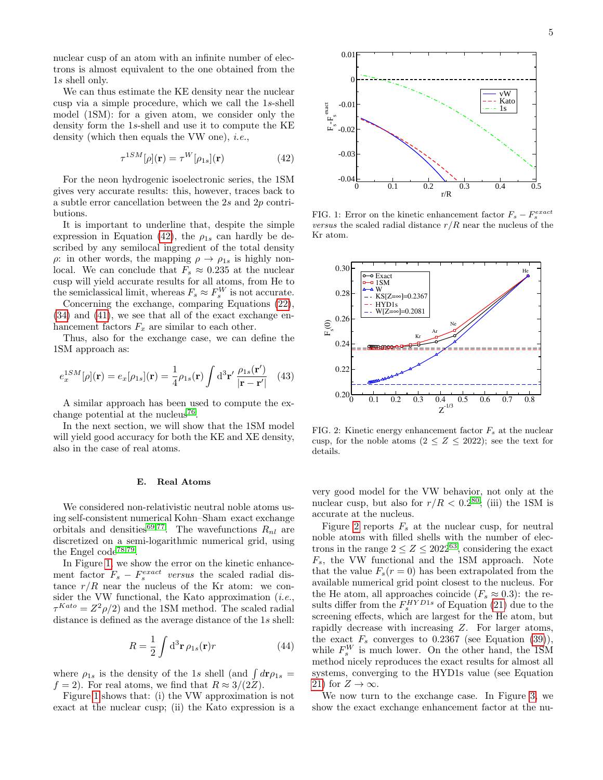nuclear cusp of an atom with an infinite number of electrons is almost equivalent to the one obtained from the 1s shell only.

We can thus estimate the KE density near the nuclear cusp via a simple procedure, which we call the 1s-shell model (1SM): for a given atom, we consider only the density form the 1s-shell and use it to compute the KE density (which then equals the VW one), *i.e.*,

<span id="page-4-0"></span>
$$
\tau^{1SM}[\rho](\mathbf{r}) = \tau^W[\rho_{1s}](\mathbf{r}) \tag{42}
$$

For the neon hydrogenic isoelectronic series, the 1SM gives very accurate results: this, however, traces back to a subtle error cancellation between the 2s and 2p contributions.

It is important to underline that, despite the simple expression in Equation [\(42\)](#page-4-0), the  $\rho_{1s}$  can hardly be described by any semilocal ingredient of the total density  $\rho$ : in other words, the mapping  $\rho \rightarrow \rho_{1s}$  is highly nonlocal. We can conclude that  $F_s \approx 0.235$  at the nuclear cusp will yield accurate results for all atoms, from He to the semiclassical limit, whereas  $F_s \approx F_s^W$  is not accurate.

Concerning the exchange, comparing Equations [\(22\)](#page-2-2), [\(34\)](#page-3-1) and [\(41\)](#page-3-3), we see that all of the exact exchange enhancement factors  $F_x$  are similar to each other.

Thus, also for the exchange case, we can define the 1SM approach as:

<span id="page-4-3"></span>
$$
e_x^{1SM}[\rho](\mathbf{r}) = e_x[\rho_{1s}](\mathbf{r}) = \frac{1}{4}\rho_{1s}(\mathbf{r}) \int d^3 \mathbf{r}' \frac{\rho_{1s}(\mathbf{r}')}{|\mathbf{r} - \mathbf{r}'|} \tag{43}
$$

A similar approach has been used to compute the ex-change potential at the nucleus<sup>[76](#page-9-25)</sup>.

In the next section, we will show that the 1SM model will yield good accuracy for both the KE and XE density, also in the case of real atoms.

### E. Real Atoms

We considered non-relativistic neutral noble atoms using self-consistent numerical Kohn–Sham exact exchange orbitals and densities<sup>[69](#page-9-20)[,77](#page-9-26)</sup>. The wavefunctions  $R_{nl}$  are discretized on a semi-logarithmic numerical grid, using the Engel  $code^{78,79}$  $code^{78,79}$  $code^{78,79}$  $code^{78,79}$ .

In Figure [1,](#page-4-1) we show the error on the kinetic enhancement factor  $F_s - F_s^{exact}$  versus the scaled radial distance  $r/R$  near the nucleus of the Kr atom: we consider the VW functional, the Kato approximation  $(i.e.,$  $\tau^{Kato} = Z^2 \rho/2$  and the 1SM method. The scaled radial distance is defined as the average distance of the 1s shell:

$$
R = \frac{1}{2} \int \mathrm{d}^3 \mathbf{r} \,\rho_{1s}(\mathbf{r}) r \tag{44}
$$

where  $\rho_{1s}$  is the density of the 1s shell (and  $\int d\mathbf{r} \rho_{1s} =$  $f = 2$ . For real atoms, we find that  $R \approx 3/(2Z)$ .

Figure [1](#page-4-1) shows that: (i) the VW approximation is not exact at the nuclear cusp; (ii) the Kato expression is a



<span id="page-4-1"></span>FIG. 1: Error on the kinetic enhancement factor  $F_s - F_s^{exact}$ versus the scaled radial distance  $r/R$  near the nucleus of the Kr atom.



<span id="page-4-2"></span>FIG. 2: Kinetic energy enhancement factor  $F_s$  at the nuclear cusp, for the noble atoms  $(2 \leq Z \leq 2022)$ ; see the text for details.

very good model for the VW behavior, not only at the nuclear cusp, but also for  $r/R < 0.2^{80}$  $r/R < 0.2^{80}$  $r/R < 0.2^{80}$ ; (iii) the 1SM is accurate at the nucleus.

Figure [2](#page-4-2) reports  $F_s$  at the nuclear cusp, for neutral noble atoms with filled shells with the number of electrons in the range  $2 \le Z \le 2022^{63}$  $2 \le Z \le 2022^{63}$  $2 \le Z \le 2022^{63}$ , considering the exact  $F_s$ , the VW functional and the 1SM approach. Note that the value  $F_s(r=0)$  has been extrapolated from the available numerical grid point closest to the nucleus. For the He atom, all approaches coincide ( $F_s \approx 0.3$ ): the results differ from the  $F_s^{HYD1s}$  of Equation [\(21\)](#page-2-2) due to the screening effects, which are largest for the He atom, but rapidly decrease with increasing Z. For larger atoms, the exact  $F_s$  converges to 0.2367 (see Equation [\(39\)](#page-3-2)), while  $F_s^W$  is much lower. On the other hand, the 1SM method nicely reproduces the exact results for almost all systems, converging to the HYD1s value (see Equation [21\)](#page-2-2) for  $Z \to \infty$ .

We now turn to the exchange case. In Figure [3,](#page-5-1) we show the exact exchange enhancement factor at the nu-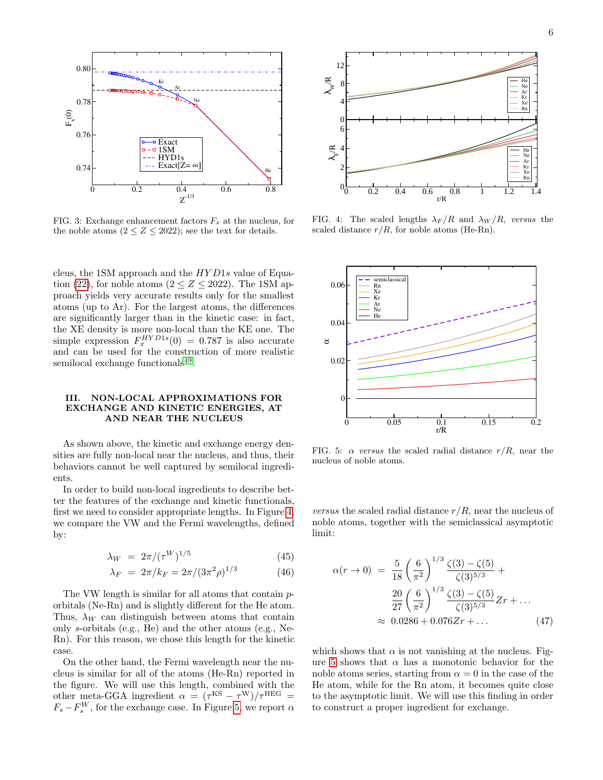

<span id="page-5-1"></span>FIG. 3: Exchange enhancement factors  $F_x$  at the nucleus, for the noble atoms  $(2 \leq Z \leq 2022)$ ; see the text for details.

cleus, the 1SM approach and the HY D1s value of Equa-tion [\(22\)](#page-2-2), for noble atoms ( $2 \le Z \le 2022$ ). The 1SM approach yields very accurate results only for the smallest atoms (up to Ar). For the largest atoms, the differences are significantly larger than in the kinetic case: in fact, the XE density is more non-local than the KE one. The simple expression  $F_x^{HYD1s}(0) = 0.787$  is also accurate and can be used for the construction of more realistic semilocal exchange functionals<sup>[49](#page-9-2)</sup>.

### <span id="page-5-0"></span>III. NON-LOCAL APPROXIMATIONS FOR EXCHANGE AND KINETIC ENERGIES, AT AND NEAR THE NUCLEUS

As shown above, the kinetic and exchange energy densities are fully non-local near the nucleus, and thus, their behaviors cannot be well captured by semilocal ingredients.

In order to build non-local ingredients to describe better the features of the exchange and kinetic functionals, first we need to consider appropriate lengths. In Figure [4,](#page-5-2) we compare the VW and the Fermi wavelengths, defined by:

$$
\lambda_W = 2\pi/(\tau^W)^{1/5} \tag{45}
$$

<span id="page-5-4"></span>
$$
\lambda_F = 2\pi/k_F = 2\pi/(3\pi^2\rho)^{1/3} \tag{46}
$$

The VW length is similar for all atoms that contain porbitals (Ne-Rn) and is slightly different for the He atom. Thus,  $\lambda_W$  can distinguish between atoms that contain only s-orbitals (e.g., He) and the other atoms (e.g., Ne-Rn). For this reason, we chose this length for the kinetic case.

On the other hand, the Fermi wavelength near the nucleus is similar for all of the atoms (He-Rn) reported in the figure. We will use this length, combined with the other meta-GGA ingredient  $\alpha = (\tau^{KS} - \tau^{W})/\tau^{HEG}$  $F_s - F_s^W$ , for the exchange case. In Figure [5,](#page-5-3) we report  $\alpha$ 



<span id="page-5-2"></span>FIG. 4: The scaled lengths  $\lambda_F/R$  and  $\lambda_W/R$ , versus the scaled distance  $r/R$ , for noble atoms (He-Rn).



<span id="page-5-3"></span>FIG. 5:  $\alpha$  versus the scaled radial distance  $r/R$ , near the nucleus of noble atoms.

*versus* the scaled radial distance  $r/R$ , near the nucleus of noble atoms, together with the semiclassical asymptotic limit:

$$
\alpha(r \to 0) = \frac{5}{18} \left(\frac{6}{\pi^2}\right)^{1/3} \frac{\zeta(3) - \zeta(5)}{\zeta(3)^{5/3}} +
$$

$$
\frac{20}{27} \left(\frac{6}{\pi^2}\right)^{1/3} \frac{\zeta(3) - \zeta(5)}{\zeta(3)^{5/3}} Zr + \dots
$$

$$
\approx 0.0286 + 0.076 Zr + \dots \tag{47}
$$

which shows that  $\alpha$  is not vanishing at the nucleus. Fig-ure [5](#page-5-3) shows that  $\alpha$  has a monotonic behavior for the noble atoms series, starting from  $\alpha = 0$  in the case of the He atom, while for the Rn atom, it becomes quite close to the asymptotic limit. We will use this finding in order to construct a proper ingredient for exchange.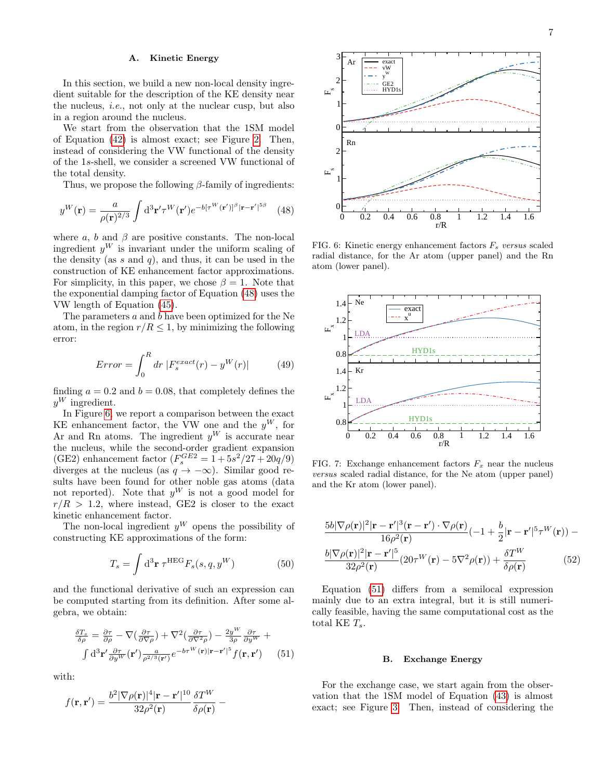### A. Kinetic Energy

In this section, we build a new non-local density ingredient suitable for the description of the KE density near the nucleus, i.e., not only at the nuclear cusp, but also in a region around the nucleus.

We start from the observation that the 1SM model of Equation [\(42\)](#page-4-0) is almost exact; see Figure [2.](#page-4-2) Then, instead of considering the VW functional of the density of the 1s-shell, we consider a screened VW functional of the total density.

Thus, we propose the following  $\beta$ -family of ingredients:

<span id="page-6-0"></span>
$$
y^{W}(\mathbf{r}) = \frac{a}{\rho(\mathbf{r})^{2/3}} \int d^{3} \mathbf{r}' \tau^{W}(\mathbf{r}') e^{-b[\tau^{W}(\mathbf{r}')]^{\beta} |\mathbf{r} - \mathbf{r}'|^{5\beta}}
$$
(48)

where  $a, b$  and  $\beta$  are positive constants. The non-local ingredient  $y^W$  is invariant under the uniform scaling of the density (as s and q), and thus, it can be used in the construction of KE enhancement factor approximations. For simplicity, in this paper, we chose  $\beta = 1$ . Note that the exponential damping factor of Equation [\(48\)](#page-6-0) uses the VW length of Equation [\(45\)](#page-5-4).

The parameters a and b have been optimized for the Ne atom, in the region  $r/R \leq 1$ , by minimizing the following error:

$$
Error = \int_0^R dr \; |F_s^{exact}(r) - y^W(r)| \tag{49}
$$

finding  $a = 0.2$  and  $b = 0.08$ , that completely defines the  $y^W$  ingredient.

In Figure [6,](#page-6-1) we report a comparison between the exact KE enhancement factor, the VW one and the  $y^W$ , for Ar and Rn atoms. The ingredient  $y^W$  is accurate near the nucleus, while the second-order gradient expansion (GE2) enhancement factor  $(F_s^{GE2} = 1 + 5s^2/27 + 20q/9)$ diverges at the nucleus (as  $q \to -\infty$ ). Similar good results have been found for other noble gas atoms (data not reported). Note that  $y^W$  is not a good model for  $r/R > 1.2$ , where instead, GE2 is closer to the exact kinetic enhancement factor.

The non-local ingredient  $y^W$  opens the possibility of constructing KE approximations of the form:

$$
T_s = \int \mathrm{d}^3 \mathbf{r} \ \tau^{\text{HEG}} F_s(s, q, y^W) \tag{50}
$$

and the functional derivative of such an expression can be computed starting from its definition. After some algebra, we obtain:

<span id="page-6-2"></span>
$$
\frac{\delta T_s}{\delta \rho} = \frac{\partial \tau}{\partial \rho} - \nabla \left( \frac{\partial \tau}{\partial \nabla \rho} \right) + \nabla^2 \left( \frac{\partial \tau}{\partial \nabla^2 \rho} \right) - \frac{2y^W}{3\rho} \frac{\partial \tau}{\partial y^W} + \int d^3 \mathbf{r}' \frac{\partial \tau}{\partial y^W} (\mathbf{r}') \frac{a}{\rho^{2/3} (\mathbf{r}')} e^{-b\tau^W (\mathbf{r}) |\mathbf{r} - \mathbf{r}'|^5} f(\mathbf{r}, \mathbf{r}') \tag{51}
$$

with:

$$
f(\mathbf{r},\mathbf{r}') = \frac{b^2|\nabla\rho(\mathbf{r})|^4|\mathbf{r}-\mathbf{r}'|^{10}}{32\rho^2(\mathbf{r})}\frac{\delta T^W}{\delta\rho(\mathbf{r})} -
$$



<span id="page-6-1"></span>FIG. 6: Kinetic energy enhancement factors  $F_s$  versus scaled radial distance, for the Ar atom (upper panel) and the Rn atom (lower panel).



<span id="page-6-3"></span>FIG. 7: Exchange enhancement factors  $F_x$  near the nucleus versus scaled radial distance, for the Ne atom (upper panel) and the Kr atom (lower panel).

$$
\frac{5b|\nabla\rho(\mathbf{r})|^2|\mathbf{r}-\mathbf{r}'|^3(\mathbf{r}-\mathbf{r}')\cdot\nabla\rho(\mathbf{r})}{16\rho^2(\mathbf{r})}(-1+\frac{b}{2}|\mathbf{r}-\mathbf{r}'|^5\tau^W(\mathbf{r}))-\n\n\frac{b|\nabla\rho(\mathbf{r})|^2|\mathbf{r}-\mathbf{r}'|^5}{32\rho^2(\mathbf{r})}(20\tau^W(\mathbf{r})-5\nabla^2\rho(\mathbf{r}))+\n\frac{\delta T^W}{\delta\rho(\mathbf{r})}
$$
\n(52)

Equation [\(51\)](#page-6-2) differs from a semilocal expression mainly due to an extra integral, but it is still numerically feasible, having the same computational cost as the total KE  $T_s$ .

#### B. Exchange Energy

For the exchange case, we start again from the observation that the 1SM model of Equation [\(43\)](#page-4-3) is almost exact; see Figure [3.](#page-5-1) Then, instead of considering the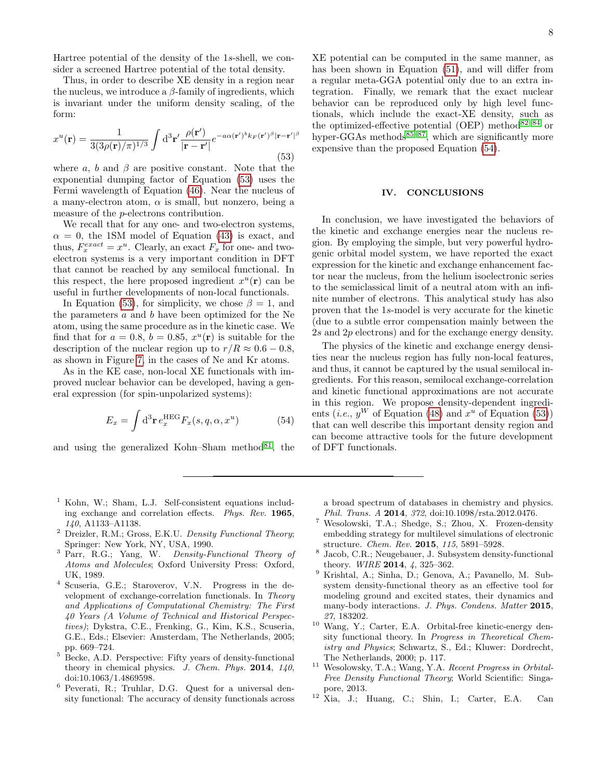Hartree potential of the density of the 1s-shell, we consider a screened Hartree potential of the total density.

Thus, in order to describe XE density in a region near the nucleus, we introduce a  $\beta$ -family of ingredients, which is invariant under the uniform density scaling, of the form:

<span id="page-7-9"></span>
$$
x^{u}(\mathbf{r}) = \frac{1}{3(3\rho(\mathbf{r})/\pi)^{1/3}} \int d^{3}\mathbf{r}' \frac{\rho(\mathbf{r}')}{|\mathbf{r} - \mathbf{r}'|} e^{-a\alpha(\mathbf{r}')^{b}k_{F}(\mathbf{r}')^{\beta}|\mathbf{r} - \mathbf{r}'|^{\beta}}
$$
(53)

where a, b and  $\beta$  are positive constant. Note that the exponential dumping factor of Equation [\(53\)](#page-7-9) uses the Fermi wavelength of Equation [\(46\)](#page-5-4). Near the nucleus of a many-electron atom,  $\alpha$  is small, but nonzero, being a measure of the p-electrons contribution.

We recall that for any one- and two-electron systems,  $\alpha = 0$ , the 1SM model of Equation [\(43\)](#page-4-3) is exact, and thus,  $F_x^{exact} = x^u$ . Clearly, an exact  $F_x$  for one- and twoelectron systems is a very important condition in DFT that cannot be reached by any semilocal functional. In this respect, the here proposed ingredient  $x^u(\mathbf{r})$  can be useful in further developments of non-local functionals.

In Equation [\(53\)](#page-7-9), for simplicity, we chose  $\beta = 1$ , and the parameters  $a$  and  $b$  have been optimized for the Ne atom, using the same procedure as in the kinetic case. We find that for  $a = 0.8$ ,  $b = 0.85$ ,  $x^u(\mathbf{r})$  is suitable for the description of the nuclear region up to  $r/R \approx 0.6 - 0.8$ , as shown in Figure [7,](#page-6-3) in the cases of Ne and Kr atoms.

As in the KE case, non-local XE functionals with improved nuclear behavior can be developed, having a general expression (for spin-unpolarized systems):

<span id="page-7-10"></span>
$$
E_x = \int d^3 \mathbf{r} \, e_x^{\text{HEG}} F_x(s, q, \alpha, x^u) \tag{54}
$$

and using the generalized Kohn–Sham method $^{81}$  $^{81}$  $^{81}$ , the

XE potential can be computed in the same manner, as has been shown in Equation [\(51\)](#page-6-2), and will differ from a regular meta-GGA potential only due to an extra integration. Finally, we remark that the exact nuclear behavior can be reproduced only by high level functionals, which include the exact-XE density, such as the optimized-effective potential (OEP) method $82-84$  $82-84$  or hyper-GGAs methods $85-87$  $85-87$ , which are significantly more expensive than the proposed Equation  $(54)$ .

# <span id="page-7-8"></span>IV. CONCLUSIONS

In conclusion, we have investigated the behaviors of the kinetic and exchange energies near the nucleus region. By employing the simple, but very powerful hydrogenic orbital model system, we have reported the exact expression for the kinetic and exchange enhancement factor near the nucleus, from the helium isoelectronic series to the semiclassical limit of a neutral atom with an infinite number of electrons. This analytical study has also proven that the 1s-model is very accurate for the kinetic (due to a subtle error compensation mainly between the 2s and 2p electrons) and for the exchange energy density.

The physics of the kinetic and exchange energy densities near the nucleus region has fully non-local features, and thus, it cannot be captured by the usual semilocal ingredients. For this reason, semilocal exchange-correlation and kinetic functional approximations are not accurate in this region. We propose density-dependent ingredients (*i.e.*,  $y^W$  of Equation [\(48\)](#page-6-0) and  $x^u$  of Equation [\(53\)](#page-7-9)) that can well describe this important density region and can become attractive tools for the future development of DFT functionals.

- <span id="page-7-0"></span><sup>1</sup> Kohn, W.; Sham, L.J. Self-consistent equations including exchange and correlation effects. Phys. Rev. 1965, 140, A1133–A1138.
- <span id="page-7-7"></span><sup>2</sup> Dreizler, R.M.; Gross, E.K.U. Density Functional Theory; Springer: New York, NY, USA, 1990.
- <span id="page-7-1"></span><sup>3</sup> Parr, R.G.; Yang, W. Density-Functional Theory of Atoms and Molecules; Oxford University Press: Oxford, UK, 1989.
- <span id="page-7-2"></span><sup>4</sup> Scuseria, G.E.; Staroverov, V.N. Progress in the development of exchange-correlation functionals. In Theory and Applications of Computational Chemistry: The First 40 Years (A Volume of Technical and Historical Perspectives); Dykstra, C.E., Frenking, G., Kim, K.S., Scuseria, G.E., Eds.; Elsevier: Amsterdam, The Netherlands, 2005; pp. 669–724.
- <sup>5</sup> Becke, A.D. Perspective: Fifty years of density-functional theory in chemical physics. J. Chem. Phys.  $2014$ ,  $140$ , doi:10.1063/1.4869598.
- <span id="page-7-3"></span><sup>6</sup> Peverati, R.; Truhlar, D.G. Quest for a universal density functional: The accuracy of density functionals across

a broad spectrum of databases in chemistry and physics. Phil. Trans. A 2014, 372, doi:10.1098/rsta.2012.0476.

- <span id="page-7-4"></span><sup>7</sup> Wesolowski, T.A.; Shedge, S.; Zhou, X. Frozen-density embedding strategy for multilevel simulations of electronic structure. Chem. Rev. 2015, 115, 5891–5928.
- 8 Jacob, C.R.; Neugebauer, J. Subsystem density-functional theory. WIRE 2014, 4, 325–362.
- <span id="page-7-5"></span><sup>9</sup> Krishtal, A.; Sinha, D.; Genova, A.; Pavanello, M. Subsystem density-functional theory as an effective tool for modeling ground and excited states, their dynamics and many-body interactions. J. Phys. Condens. Matter 2015, 27, 183202.
- <span id="page-7-6"></span><sup>10</sup> Wang, Y.; Carter, E.A. Orbital-free kinetic-energy density functional theory. In Progress in Theoretical Chemistry and Physics; Schwartz, S., Ed.; Kluwer: Dordrecht, The Netherlands, 2000; p. 117.
- <sup>11</sup> Wesolowsky, T.A.; Wang, Y.A. Recent Progress in Orbital-Free Density Functional Theory; World Scientific: Singapore, 2013.
- <sup>12</sup> Xia, J.; Huang, C.; Shin, I.; Carter, E.A. Can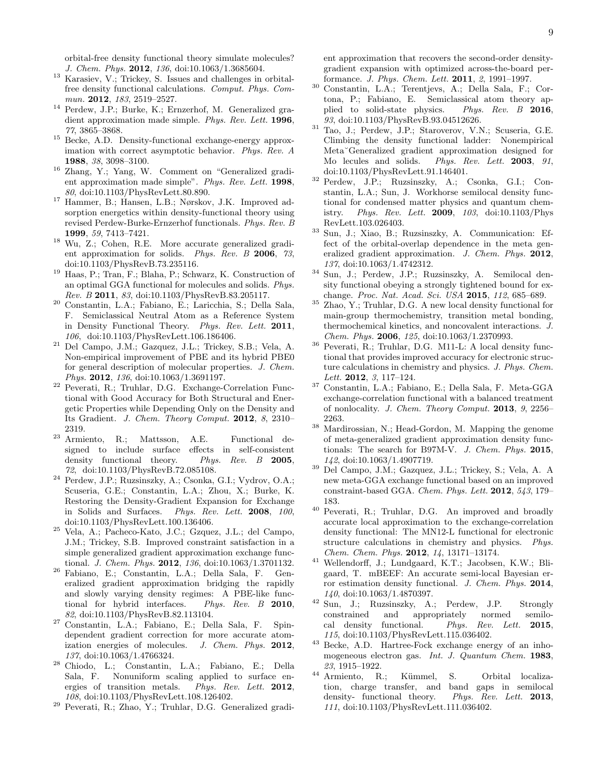orbital-free density functional theory simulate molecules? J. Chem. Phys. 2012, 136, doi:10.1063/1.3685604.

- <span id="page-8-0"></span><sup>13</sup> Karasiev, V.; Trickey, S. Issues and challenges in orbitalfree density functional calculations. Comput. Phys. Commun. 2012, 183, 2519–2527.
- <span id="page-8-1"></span><sup>14</sup> Perdew, J.P.; Burke, K.; Ernzerhof, M. Generalized gradient approximation made simple. Phys. Rev. Lett. 1996, 77, 3865–3868.
- <span id="page-8-6"></span><sup>15</sup> Becke, A.D. Density-functional exchange-energy approximation with correct asymptotic behavior. Phys. Rev. A 1988, 38, 3098–3100.
- <sup>16</sup> Zhang, Y.; Yang, W. Comment on "Generalized gradient approximation made simple". Phys. Rev. Lett. 1998, 80, doi:10.1103/PhysRevLett.80.890.
- <sup>17</sup> Hammer, B.; Hansen, L.B.; Nørskov, J.K. Improved adsorption energetics within density-functional theory using revised Perdew-Burke-Ernzerhof functionals. Phys. Rev. B 1999, 59, 7413–7421.
- <sup>18</sup> Wu, Z.; Cohen, R.E. More accurate generalized gradient approximation for solids. Phys. Rev. B 2006, 73, doi:10.1103/PhysRevB.73.235116.
- <sup>19</sup> Haas, P.; Tran, F.; Blaha, P.; Schwarz, K. Construction of an optimal GGA functional for molecules and solids. Phys. Rev. B 2011, 83, doi:10.1103/PhysRevB.83.205117.
- <span id="page-8-8"></span><sup>20</sup> Constantin, L.A.; Fabiano, E.; Laricchia, S.; Della Sala, F. Semiclassical Neutral Atom as a Reference System in Density Functional Theory. Phys. Rev. Lett. 2011, 106, doi:10.1103/PhysRevLett.106.186406.
- $21$  Del Campo, J.M.; Gazquez, J.L.; Trickey, S.B.; Vela, A. Non-empirical improvement of PBE and its hybrid PBE0 for general description of molecular properties. J. Chem. Phys. 2012, 136, doi:10.1063/1.3691197.
- <sup>22</sup> Peverati, R.; Truhlar, D.G. Exchange-Correlation Functional with Good Accuracy for Both Structural and Energetic Properties while Depending Only on the Density and Its Gradient. J. Chem. Theory Comput. 2012, 8, 2310– 2319.
- <sup>23</sup> Armiento, R.; Mattsson, A.E. Functional designed to include surface effects in self-consistent density functional theory. Phys. Rev. B 2005, 72, doi:10.1103/PhysRevB.72.085108.
- <sup>24</sup> Perdew, J.P.; Ruzsinszky, A.; Csonka, G.I.; Vydrov, O.A.; Scuseria, G.E.; Constantin, L.A.; Zhou, X.; Burke, K. Restoring the Density-Gradient Expansion for Exchange in Solids and Surfaces. Phys. Rev. Lett. 2008, 100, doi:10.1103/PhysRevLett.100.136406.
- <sup>25</sup> Vela, A.; Pacheco-Kato, J.C.; Gzquez, J.L.; del Campo, J.M.; Trickey, S.B. Improved constraint satisfaction in a simple generalized gradient approximation exchange functional. J. Chem. Phys. 2012, 136, doi:10.1063/1.3701132.
- <sup>26</sup> Fabiano, E.; Constantin, L.A.; Della Sala, F. Generalized gradient approximation bridging the rapidly and slowly varying density regimes: A PBE-like functional for hybrid interfaces. Phys. Rev. B 2010, 82, doi:10.1103/PhysRevB.82.113104.
- <sup>27</sup> Constantin, L.A.; Fabiano, E.; Della Sala, F. Spindependent gradient correction for more accurate atomization energies of molecules. J. Chem. Phys. 2012, 137, doi:10.1063/1.4766324.
- <sup>28</sup> Chiodo, L.; Constantin, L.A.; Fabiano, E.; Della Sala, F. Nonuniform scaling applied to surface energies of transition metals. Phys. Rev. Lett. 2012, 108, doi:10.1103/PhysRevLett.108.126402.
- <sup>29</sup> Peverati, R.; Zhao, Y.; Truhlar, D.G. Generalized gradi-

ent approximation that recovers the second-order densitygradient expansion with optimized across-the-board performance. J. Phys. Chem. Lett. 2011, 2, 1991–1997.

- <span id="page-8-2"></span><sup>30</sup> Constantin, L.A.; Terentjevs, A.; Della Sala, F.; Cortona, P.; Fabiano, E. Semiclassical atom theory applied to solid-state physics. Phys. Rev. B 2016, 93, doi:10.1103/PhysRevB.93.04512626.
- <span id="page-8-3"></span><sup>31</sup> Tao, J.; Perdew, J.P.; Staroverov, V.N.; Scuseria, G.E. Climbing the density functional ladder: Nonempirical Meta˘Generalized gradient approximation designed for Mo lecules and solids. Phys. Rev. Lett. 2003, 91, doi:10.1103/PhysRevLett.91.146401.
- <sup>32</sup> Perdew, J.P.; Ruzsinszky, A.; Csonka, G.I.; Constantin, L.A.; Sun, J. Workhorse semilocal density functional for condensed matter physics and quantum chemistry. Phys. Rev. Lett. 2009, 103, doi:10.1103/Phys RevLett.103.026403.
- <sup>33</sup> Sun, J.; Xiao, B.; Ruzsinszky, A. Communication: Effect of the orbital-overlap dependence in the meta generalized gradient approximation. J. Chem. Phys. 2012, 137, doi:10.1063/1.4742312.
- <sup>34</sup> Sun, J.; Perdew, J.P.; Ruzsinszky, A. Semilocal density functional obeying a strongly tightened bound for exchange. Proc. Nat. Acad. Sci. USA 2015, 112, 685–689.
- <sup>35</sup> Zhao, Y.; Truhlar, D.G. A new local density functional for main-group thermochemistry, transition metal bonding, thermochemical kinetics, and noncovalent interactions. J. Chem. Phys. 2006, 125, doi:10.1063/1.2370993.
- $36$  Peverati, R.; Truhlar, D.G. M11-L: A local density functional that provides improved accuracy for electronic structure calculations in chemistry and physics. J. Phys. Chem. Lett. 2012, 3, 117–124.
- <sup>37</sup> Constantin, L.A.; Fabiano, E.; Della Sala, F. Meta-GGA exchange-correlation functional with a balanced treatment of nonlocality. J. Chem. Theory Comput. 2013, 9, 2256– 2263.
- <sup>38</sup> Mardirossian, N.; Head-Gordon, M. Mapping the genome of meta-generalized gradient approximation density functionals: The search for B97M-V. J. Chem. Phys. 2015, 142, doi:10.1063/1.4907719.
- <sup>39</sup> Del Campo, J.M.; Gazquez, J.L.; Trickey, S.; Vela, A. A new meta-GGA exchange functional based on an improved constraint-based GGA. Chem. Phys. Lett. 2012, 543, 179– 183.
- <sup>40</sup> Peverati, R.; Truhlar, D.G. An improved and broadly accurate local approximation to the exchange-correlation density functional: The MN12-L functional for electronic structure calculations in chemistry and physics. Phys. Chem. Chem. Phys. 2012, 14, 13171–13174.
- <sup>41</sup> Wellendorff, J.; Lundgaard, K.T.; Jacobsen, K.W.; Bligaard, T. mBEEF: An accurate semi-local Bayesian error estimation density functional. J. Chem. Phys. 2014, 140, doi:10.1063/1.4870397.
- <span id="page-8-4"></span><sup>42</sup> Sun, J.; Ruzsinszky, A.; Perdew, J.P. Strongly constrained and appropriately normed semilocal density functional. Phys. Rev. Lett. 2015, 115, doi:10.1103/PhysRevLett.115.036402.
- <span id="page-8-5"></span><sup>43</sup> Becke, A.D. Hartree-Fock exchange energy of an inhomogeneous electron gas. Int. J. Quantum Chem. 1983, 23, 1915–1922.
- <span id="page-8-7"></span><sup>44</sup> Armiento, R.; Kümmel, S. Orbital localization, charge transfer, and band gaps in semilocal density- functional theory. Phys. Rev. Lett. 2013, 111, doi:10.1103/PhysRevLett.111.036402.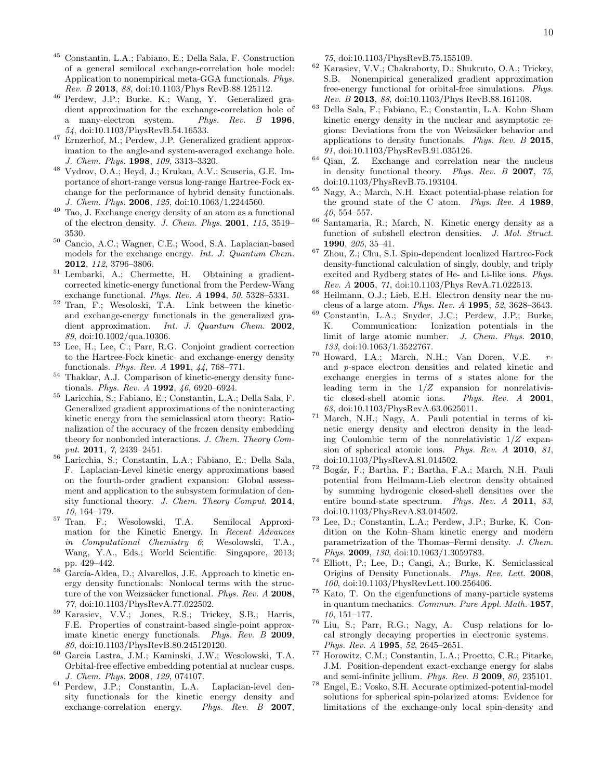- <span id="page-9-0"></span><sup>45</sup> Constantin, L.A.; Fabiano, E.; Della Sala, F. Construction of a general semilocal exchange-correlation hole model: Application to nonempirical meta-GGA functionals. Phys. Rev. B 2013, 88, doi:10.1103/Phys RevB.88.125112.
- <sup>46</sup> Perdew, J.P.; Burke, K.; Wang, Y. Generalized gradient approximation for the exchange-correlation hole of<br>a many-electron system. Phys. Rev. B 1996. a many-electron system. 54, doi:10.1103/PhysRevB.54.16533.
- <sup>47</sup> Ernzerhof, M.; Perdew, J.P. Generalized gradient approximation to the angle-and system-averaged exchange hole. J. Chem. Phys. 1998, 109, 3313–3320.
- <span id="page-9-1"></span><sup>48</sup> Vydrov, O.A.; Heyd, J.; Krukau, A.V.; Scuseria, G.E. Importance of short-range versus long-range Hartree-Fock exchange for the performance of hybrid density functionals. J. Chem. Phys. 2006, 125, doi:10.1063/1.2244560.
- <span id="page-9-2"></span><sup>49</sup> Tao, J. Exchange energy density of an atom as a functional of the electron density. J. Chem. Phys. 2001, 115, 3519– 3530.
- <span id="page-9-3"></span><sup>50</sup> Cancio, A.C.; Wagner, C.E.; Wood, S.A. Laplacian-based models for the exchange energy. Int. J. Quantum Chem. 2012, 112, 3796–3806.
- <span id="page-9-4"></span><sup>51</sup> Lembarki, A.; Chermette, H. Obtaining a gradientcorrected kinetic-energy functional from the Perdew-Wang exchange functional. Phys. Rev.  $A$  1994, 50, 5328-5331.
- <sup>52</sup> Tran, F.; Wesoloski, T.A. Link between the kineticand exchange-energy functionals in the generalized gradient approximation. Int. J. Quantum Chem. 2002, 89, doi:10.1002/qua.10306.
- <sup>53</sup> Lee, H.; Lee, C.; Parr, R.G. Conjoint gradient correction to the Hartree-Fock kinetic- and exchange-energy density functionals. Phys. Rev. A 1991, 44, 768–771.
- <sup>54</sup> Thakkar, A.J. Comparison of kinetic-energy density functionals. Phys. Rev. A 1992, 46, 6920–6924.
- <span id="page-9-5"></span><sup>55</sup> Laricchia, S.; Fabiano, E.; Constantin, L.A.; Della Sala, F. Generalized gradient approximations of the noninteracting kinetic energy from the semiclassical atom theory: Rationalization of the accuracy of the frozen density embedding theory for nonbonded interactions. J. Chem. Theory Comput. 2011, 7, 2439–2451.
- <span id="page-9-6"></span><sup>56</sup> Laricchia, S.; Constantin, L.A.; Fabiano, E.; Della Sala, F. Laplacian-Level kinetic energy approximations based on the fourth-order gradient expansion: Global assessment and application to the subsystem formulation of density functional theory. J. Chem. Theory Comput. 2014, 10, 164–179.
- <span id="page-9-7"></span><sup>57</sup> Tran, F.; Wesolowski, T.A. Semilocal Approximation for the Kinetic Energy. In Recent Advances in Computational Chemistry 6; Wesolowski, T.A., Wang, Y.A., Eds.; World Scientific: Singapore, 2013; pp. 429–442.
- <span id="page-9-8"></span> $58$  García-Aldea, D.; Alvarellos, J.E. Approach to kinetic energy density functionals: Nonlocal terms with the structure of the von Weizsäcker functional. Phys. Rev. A 2008, 77, doi:10.1103/PhysRevA.77.022502.
- <span id="page-9-10"></span><sup>59</sup> Karasiev, V.V.; Jones, R.S.; Trickey, S.B.; Harris, F.E. Properties of constraint-based single-point approximate kinetic energy functionals. Phys. Rev. B 2009, 80, doi:10.1103/PhysRevB.80.245120120.
- <span id="page-9-9"></span><sup>60</sup> Garcia Lastra, J.M.; Kaminski, J.W.; Wesolowski, T.A. Orbital-free effective embedding potential at nuclear cusps. J. Chem. Phys. 2008, 129, 074107.
- <span id="page-9-11"></span>Perdew, J.P.; Constantin, L.A. Laplacian-level density functionals for the kinetic energy density and exchange-correlation energy. Phys. Rev. B 2007,

75, doi:10.1103/PhysRevB.75.155109.

- <span id="page-9-12"></span><sup>62</sup> Karasiev, V.V.; Chakraborty, D.; Shukruto, O.A.; Trickey, S.B. Nonempirical generalized gradient approximation free-energy functional for orbital-free simulations. Phys. Rev. B 2013, 88, doi:10.1103/Phys RevB.88.161108.
- <span id="page-9-13"></span><sup>63</sup> Della Sala, F.; Fabiano, E.; Constantin, L.A. Kohn–Sham kinetic energy density in the nuclear and asymptotic regions: Deviations from the von Weizsäcker behavior and applications to density functionals. Phys. Rev. B 2015, 91, doi:10.1103/PhysRevB.91.035126.
- <span id="page-9-14"></span><sup>64</sup> Qian, Z. Exchange and correlation near the nucleus in density functional theory. Phys. Rev. B 2007, 75, doi:10.1103/PhysRevB.75.193104.
- <span id="page-9-15"></span><sup>65</sup> Nagy, A.; March, N.H. Exact potential-phase relation for the ground state of the C atom. Phys. Rev. A 1989, 40, 554–557.
- <span id="page-9-16"></span><sup>66</sup> Santamaria, R.; March, N. Kinetic energy density as a function of subshell electron densities. J. Mol. Struct. 1990, 205, 35–41.
- <span id="page-9-17"></span> $^{67}$  Zhou, Z.; Chu, S.I. Spin-dependent localized Hartree-Fock density-functional calculation of singly, doubly, and triply excited and Rydberg states of He- and Li-like ions. Phys. Rev. A 2005, 71, doi:10.1103/Phys RevA.71.022513.
- <span id="page-9-19"></span> $68$  Heilmann, O.J.; Lieb, E.H. Electron density near the nucleus of a large atom. Phys. Rev. A 1995, 52, 3628–3643.
- <span id="page-9-20"></span><sup>69</sup> Constantin, L.A.; Snyder, J.C.; Perdew, J.P.; Burke, K. Communication: Ionization potentials in the K. Communication: Ionization potentials in the limit of large atomic number. J. Chem. Phys. 2010, 133, doi:10.1063/1.3522767.
- <span id="page-9-18"></span> $70$  Howard, I.A.; March, N.H.; Van Doren, V.E.  $r$ and p-space electron densities and related kinetic and exchange energies in terms of s states alone for the leading term in the  $1/Z$  expansion for nonrelativistic closed-shell atomic ions. Phys. Rev. A 2001, 63, doi:10.1103/PhysRevA.63.0625011.
- <sup>71</sup> March, N.H.; Nagy, A. Pauli potential in terms of kinetic energy density and electron density in the leading Coulombic term of the nonrelativistic  $1/Z$  expansion of spherical atomic ions. Phys. Rev. A 2010, 81, doi:10.1103/PhysRevA.81.014502.
- <span id="page-9-21"></span><sup>72</sup> Bogár, F.; Bartha, F.; Bartha, F.A.; March, N.H. Pauli potential from Heilmann-Lieb electron density obtained by summing hydrogenic closed-shell densities over the entire bound-state spectrum. Phys. Rev. A 2011, 83, doi:10.1103/PhysRevA.83.014502.
- <span id="page-9-22"></span><sup>73</sup> Lee, D.; Constantin, L.A.; Perdew, J.P.; Burke, K. Condition on the Kohn–Sham kinetic energy and modern parametrization of the Thomas–Fermi density. J. Chem. Phys. 2009, 130, doi:10.1063/1.3059783.
- <span id="page-9-23"></span><sup>74</sup> Elliott, P.; Lee, D.; Cangi, A.; Burke, K. Semiclassical Origins of Density Functionals. Phys. Rev. Lett. 2008, 100, doi:10.1103/PhysRevLett.100.256406.
- <span id="page-9-24"></span><sup>75</sup> Kato, T. On the eigenfunctions of many-particle systems in quantum mechanics. Commun. Pure Appl. Math. 1957, 10, 151–177.
- <span id="page-9-25"></span><sup>76</sup> Liu, S.; Parr, R.G.; Nagy, A. Cusp relations for local strongly decaying properties in electronic systems. Phys. Rev. A 1995, 52, 2645–2651.
- <span id="page-9-26"></span><sup>77</sup> Horowitz, C.M.; Constantin, L.A.; Proetto, C.R.; Pitarke, J.M. Position-dependent exact-exchange energy for slabs and semi-infinite jellium. Phys. Rev. B 2009, 80, 235101.
- <span id="page-9-27"></span><sup>78</sup> Engel, E.; Vosko, S.H. Accurate optimized-potential-model solutions for spherical spin-polarized atoms: Evidence for limitations of the exchange-only local spin-density and